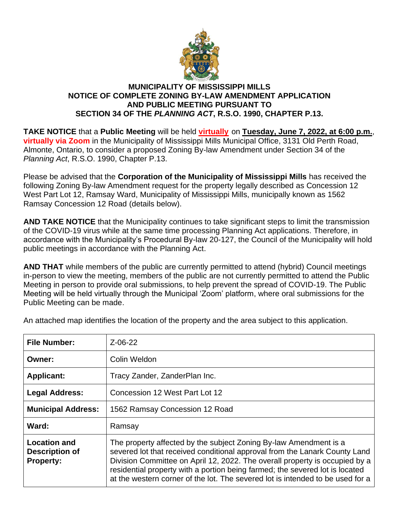

## **MUNICIPALITY OF MISSISSIPPI MILLS NOTICE OF COMPLETE ZONING BY-LAW AMENDMENT APPLICATION AND PUBLIC MEETING PURSUANT TO SECTION 34 OF THE** *PLANNING ACT***, R.S.O. 1990, CHAPTER P.13.**

**TAKE NOTICE** that a **Public Meeting** will be held **virtually** on **Tuesday, June 7, 2022, at 6:00 p.m.**, **virtually via Zoom** in the Municipality of Mississippi Mills Municipal Office, 3131 Old Perth Road, Almonte, Ontario, to consider a proposed Zoning By-law Amendment under Section 34 of the *Planning Act*, R.S.O. 1990, Chapter P.13.

Please be advised that the **Corporation of the Municipality of Mississippi Mills** has received the following Zoning By-law Amendment request for the property legally described as Concession 12 West Part Lot 12, Ramsay Ward, Municipality of Mississippi Mills, municipally known as 1562 Ramsay Concession 12 Road (details below).

**AND TAKE NOTICE** that the Municipality continues to take significant steps to limit the transmission of the COVID-19 virus while at the same time processing Planning Act applications. Therefore, in accordance with the Municipality's Procedural By-law 20-127, the Council of the Municipality will hold public meetings in accordance with the Planning Act.

**AND THAT** while members of the public are currently permitted to attend (hybrid) Council meetings in-person to view the meeting, members of the public are not currently permitted to attend the Public Meeting in person to provide oral submissions, to help prevent the spread of COVID-19. The Public Meeting will be held virtually through the Municipal 'Zoom' platform, where oral submissions for the Public Meeting can be made.

| <b>File Number:</b>                                       | $Z - 06 - 22$                                                                                                                                                                                                                                                                                                                                                                                    |
|-----------------------------------------------------------|--------------------------------------------------------------------------------------------------------------------------------------------------------------------------------------------------------------------------------------------------------------------------------------------------------------------------------------------------------------------------------------------------|
| Owner:                                                    | Colin Weldon                                                                                                                                                                                                                                                                                                                                                                                     |
| <b>Applicant:</b>                                         | Tracy Zander, ZanderPlan Inc.                                                                                                                                                                                                                                                                                                                                                                    |
| <b>Legal Address:</b>                                     | Concession 12 West Part Lot 12                                                                                                                                                                                                                                                                                                                                                                   |
| <b>Municipal Address:</b>                                 | 1562 Ramsay Concession 12 Road                                                                                                                                                                                                                                                                                                                                                                   |
| Ward:                                                     | Ramsay                                                                                                                                                                                                                                                                                                                                                                                           |
| <b>Location and</b><br>Description of<br><b>Property:</b> | The property affected by the subject Zoning By-law Amendment is a<br>severed lot that received conditional approval from the Lanark County Land<br>Division Committee on April 12, 2022. The overall property is occupied by a<br>residential property with a portion being farmed; the severed lot is located<br>at the western corner of the lot. The severed lot is intended to be used for a |

An attached map identifies the location of the property and the area subject to this application.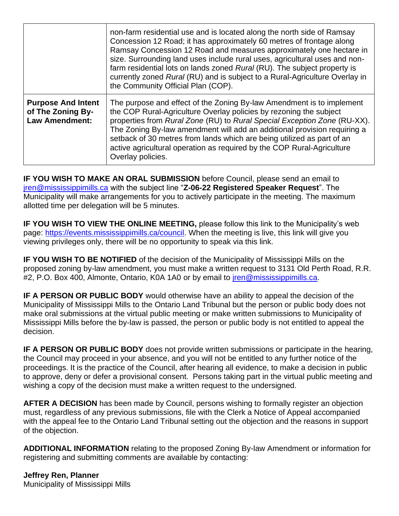|                                                                         | non-farm residential use and is located along the north side of Ramsay<br>Concession 12 Road; it has approximately 60 metres of frontage along<br>Ramsay Concession 12 Road and measures approximately one hectare in<br>size. Surrounding land uses include rural uses, agricultural uses and non-<br>farm residential lots on lands zoned Rural (RU). The subject property is<br>currently zoned Rural (RU) and is subject to a Rural-Agriculture Overlay in<br>the Community Official Plan (COP). |
|-------------------------------------------------------------------------|------------------------------------------------------------------------------------------------------------------------------------------------------------------------------------------------------------------------------------------------------------------------------------------------------------------------------------------------------------------------------------------------------------------------------------------------------------------------------------------------------|
| <b>Purpose And Intent</b><br>of The Zoning By-<br><b>Law Amendment:</b> | The purpose and effect of the Zoning By-law Amendment is to implement<br>the COP Rural-Agriculture Overlay policies by rezoning the subject<br>properties from Rural Zone (RU) to Rural Special Exception Zone (RU-XX).<br>The Zoning By-law amendment will add an additional provision requiring a<br>setback of 30 metres from lands which are being utilized as part of an<br>active agricultural operation as required by the COP Rural-Agriculture<br>Overlay policies.                         |

**IF YOU WISH TO MAKE AN ORAL SUBMISSION** before Council, please send an email to [jren@mississippimills.ca](mailto:jren@mississippimills.ca) with the subject line "**Z-06-22 Registered Speaker Request**". The Municipality will make arrangements for you to actively participate in the meeting. The maximum allotted time per delegation will be 5 minutes.

**IF YOU WISH TO VIEW THE ONLINE MEETING,** please follow this link to the Municipality's web page: [https://events.mississippimills.ca/council.](https://events.mississippimills.ca/council) When the meeting is live, this link will give you viewing privileges only, there will be no opportunity to speak via this link.

**IF YOU WISH TO BE NOTIFIED** of the decision of the Municipality of Mississippi Mills on the proposed zoning by-law amendment, you must make a written request to 3131 Old Perth Road, R.R. #2, P.O. Box 400, Almonte, Ontario, K0A 1A0 or by email to *jren@mississippimills.ca.* 

**IF A PERSON OR PUBLIC BODY** would otherwise have an ability to appeal the decision of the Municipality of Mississippi Mills to the Ontario Land Tribunal but the person or public body does not make oral submissions at the virtual public meeting or make written submissions to Municipality of Mississippi Mills before the by-law is passed, the person or public body is not entitled to appeal the decision.

**IF A PERSON OR PUBLIC BODY** does not provide written submissions or participate in the hearing, the Council may proceed in your absence, and you will not be entitled to any further notice of the proceedings. It is the practice of the Council, after hearing all evidence, to make a decision in public to approve, deny or defer a provisional consent. Persons taking part in the virtual public meeting and wishing a copy of the decision must make a written request to the undersigned.

**AFTER A DECISION** has been made by Council, persons wishing to formally register an objection must, regardless of any previous submissions, file with the Clerk a Notice of Appeal accompanied with the appeal fee to the Ontario Land Tribunal setting out the objection and the reasons in support of the objection.

**ADDITIONAL INFORMATION** relating to the proposed Zoning By-law Amendment or information for registering and submitting comments are available by contacting:

**Jeffrey Ren, Planner** Municipality of Mississippi Mills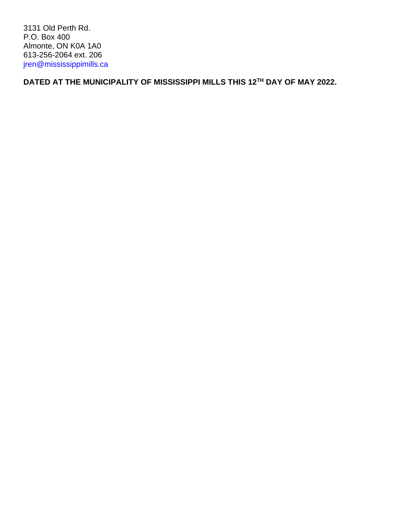3131 Old Perth Rd. P.O. Box 400 Almonte, ON K0A 1A0 613-256-2064 ext. 206 [jren@mississippimills.ca](mailto:jren@mississippimills.ca)

**DATED AT THE MUNICIPALITY OF MISSISSIPPI MILLS THIS 12TH DAY OF MAY 2022.**